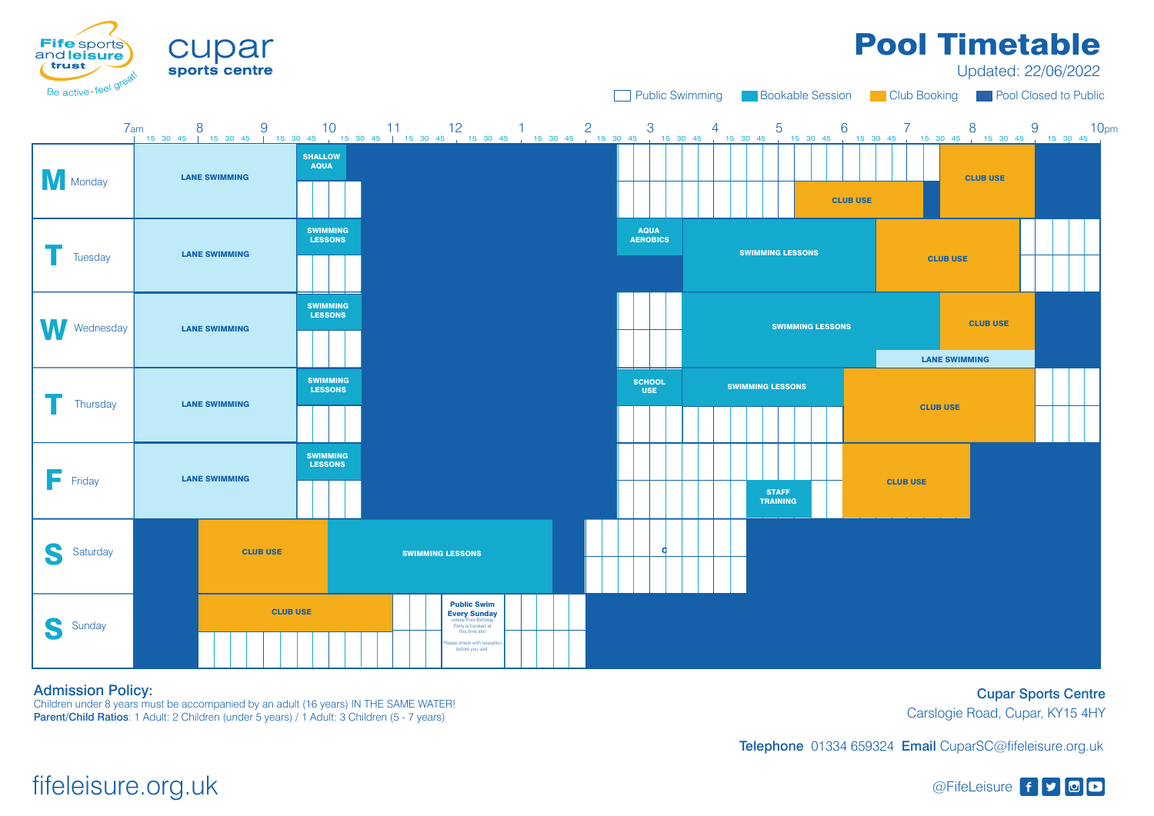Children under 8 years must be accompanied by an adult (16 years) IN THE SAME WATER! Parent/Child Ratios: 1 Adult: 2 Children (under 5 years) / 1 Adult: 3 Children (5 - 7 years)

# fifeleisure.org.uk @FifeLeisure f y @FifeLeisure f y @FifeLeisure f y @FifeLeisure f y @FifeLeisure f y @FifeLeisure f y 20

## Admission Policy:

Cupar Sports Centre Carslogie Road, Cupar, KY15 4HY

Telephone 01334 659324 Email CuparSC@fifeleisure.org.uk